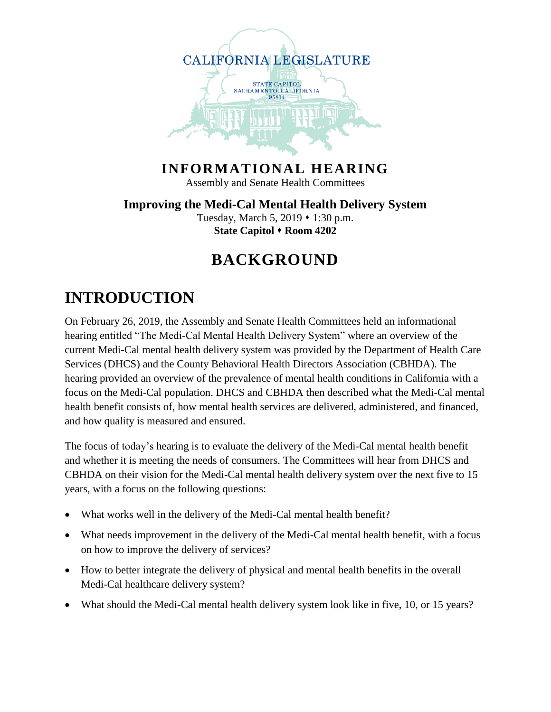

#### **INFORMATIONAL HEARING**

Assembly and Senate Health Committees

**Improving the Medi-Cal Mental Health Delivery System** Tuesday, March 5,  $2019 \cdot 1:30$  p.m. **State Capitol Room 4202**

### **BACKGROUND**

### **INTRODUCTION**

On February 26, 2019, the Assembly and Senate Health Committees held an informational hearing entitled "The Medi-Cal Mental Health Delivery System" where an overview of the current Medi-Cal mental health delivery system was provided by the Department of Health Care Services (DHCS) and the County Behavioral Health Directors Association (CBHDA). The hearing provided an overview of the prevalence of mental health conditions in California with a focus on the Medi-Cal population. DHCS and CBHDA then described what the Medi-Cal mental health benefit consists of, how mental health services are delivered, administered, and financed, and how quality is measured and ensured.

The focus of today's hearing is to evaluate the delivery of the Medi-Cal mental health benefit and whether it is meeting the needs of consumers. The Committees will hear from DHCS and CBHDA on their vision for the Medi-Cal mental health delivery system over the next five to 15 years, with a focus on the following questions:

- What works well in the delivery of the Medi-Cal mental health benefit?
- What needs improvement in the delivery of the Medi-Cal mental health benefit, with a focus on how to improve the delivery of services?
- How to better integrate the delivery of physical and mental health benefits in the overall Medi-Cal healthcare delivery system?
- What should the Medi-Cal mental health delivery system look like in five, 10, or 15 years?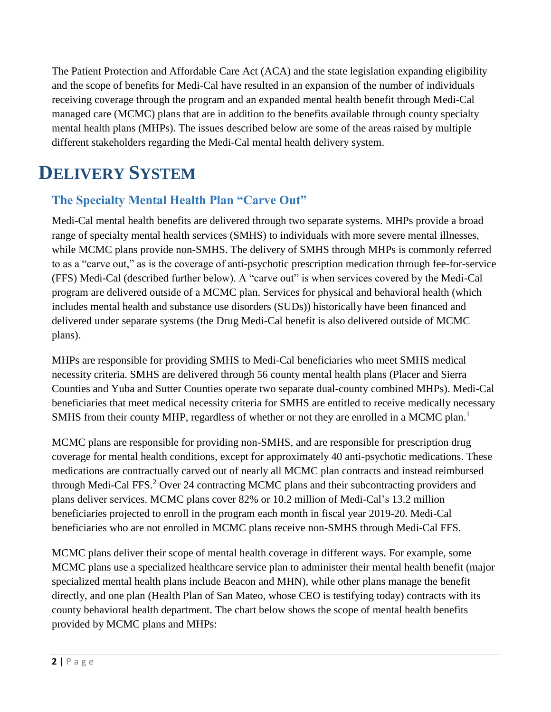The Patient Protection and Affordable Care Act (ACA) and the state legislation expanding eligibility and the scope of benefits for Medi-Cal have resulted in an expansion of the number of individuals receiving coverage through the program and an expanded mental health benefit through Medi-Cal managed care (MCMC) plans that are in addition to the benefits available through county specialty mental health plans (MHPs). The issues described below are some of the areas raised by multiple different stakeholders regarding the Medi-Cal mental health delivery system.

## **DELIVERY SYSTEM**

#### **The Specialty Mental Health Plan "Carve Out"**

Medi-Cal mental health benefits are delivered through two separate systems. MHPs provide a broad range of specialty mental health services (SMHS) to individuals with more severe mental illnesses, while MCMC plans provide non-SMHS. The delivery of SMHS through MHPs is commonly referred to as a "carve out," as is the coverage of anti-psychotic prescription medication through fee-for-service (FFS) Medi-Cal (described further below). A "carve out" is when services covered by the Medi-Cal program are delivered outside of a MCMC plan. Services for physical and behavioral health (which includes mental health and substance use disorders (SUDs)) historically have been financed and delivered under separate systems (the Drug Medi-Cal benefit is also delivered outside of MCMC plans).

MHPs are responsible for providing SMHS to Medi-Cal beneficiaries who meet SMHS medical necessity criteria. SMHS are delivered through 56 county mental health plans (Placer and Sierra Counties and Yuba and Sutter Counties operate two separate dual-county combined MHPs). Medi-Cal beneficiaries that meet medical necessity criteria for SMHS are entitled to receive medically necessary SMHS from their county MHP, regardless of whether or not they are enrolled in a MCMC plan.<sup>1</sup>

MCMC plans are responsible for providing non-SMHS, and are responsible for prescription drug coverage for mental health conditions, except for approximately 40 anti-psychotic medications. These medications are contractually carved out of nearly all MCMC plan contracts and instead reimbursed through Medi-Cal FFS. <sup>2</sup> Over 24 contracting MCMC plans and their subcontracting providers and plans deliver services. MCMC plans cover 82% or 10.2 million of Medi-Cal's 13.2 million beneficiaries projected to enroll in the program each month in fiscal year 2019-20. Medi-Cal beneficiaries who are not enrolled in MCMC plans receive non-SMHS through Medi-Cal FFS.

MCMC plans deliver their scope of mental health coverage in different ways. For example, some MCMC plans use a specialized healthcare service plan to administer their mental health benefit (major specialized mental health plans include Beacon and MHN), while other plans manage the benefit directly, and one plan (Health Plan of San Mateo, whose CEO is testifying today) contracts with its county behavioral health department. The chart below shows the scope of mental health benefits provided by MCMC plans and MHPs: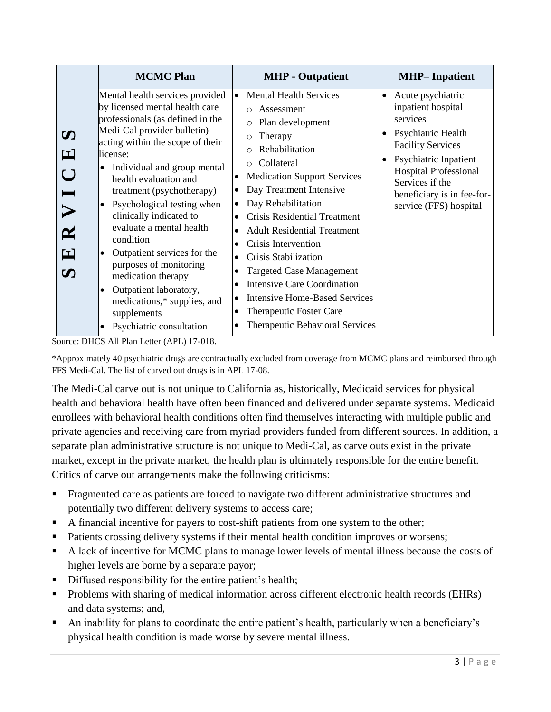| <b>MCMC Plan</b>                                                                                                                                                                                                                                                                                                                                                                                                                                                                                                                                                                                                                                                                                                                                                            | <b>MHP</b> - Outpatient                                                                                                                                                                                                                                                                                                                                                                                                                                                                                                                                                  | <b>MHP-Inpatient</b>                                                                                                                                                                                                                                   |
|-----------------------------------------------------------------------------------------------------------------------------------------------------------------------------------------------------------------------------------------------------------------------------------------------------------------------------------------------------------------------------------------------------------------------------------------------------------------------------------------------------------------------------------------------------------------------------------------------------------------------------------------------------------------------------------------------------------------------------------------------------------------------------|--------------------------------------------------------------------------------------------------------------------------------------------------------------------------------------------------------------------------------------------------------------------------------------------------------------------------------------------------------------------------------------------------------------------------------------------------------------------------------------------------------------------------------------------------------------------------|--------------------------------------------------------------------------------------------------------------------------------------------------------------------------------------------------------------------------------------------------------|
| Mental health services provided<br>by licensed mental health care<br>professionals (as defined in the<br>Medi-Cal provider bulletin)<br>$\boldsymbol{\omega}$<br>acting within the scope of their<br>$\mathbf{E}$<br>license:<br>Individual and group mental<br>$\bullet$<br>$\bigcup$<br>health evaluation and<br>$\blacksquare$<br>treatment (psychotherapy)<br>Psychological testing when<br>$\bullet$<br>$\blacktriangleright$<br>clinically indicated to<br>evaluate a mental health<br>$\mathbf{\Xi}$<br>condition<br>$\mathbf{E}$<br>Outpatient services for the<br>$\bullet$<br>purposes of monitoring<br>$\boldsymbol{\omega}$<br>medication therapy<br>Outpatient laboratory,<br>٠<br>medications,* supplies, and<br>supplements<br>Psychiatric consultation<br>٠ | <b>Mental Health Services</b><br>$\bullet$<br>Assessment<br>$\circ$<br>Plan development<br>$\circ$<br>Therapy<br>$\circ$<br>Rehabilitation<br>Collateral<br>$\bigcirc$<br><b>Medication Support Services</b><br>Day Treatment Intensive<br>Day Rehabilitation<br><b>Crisis Residential Treatment</b><br><b>Adult Residential Treatment</b><br>Crisis Intervention<br>Crisis Stabilization<br><b>Targeted Case Management</b><br><b>Intensive Care Coordination</b><br><b>Intensive Home-Based Services</b><br>Therapeutic Foster Care<br>Therapeutic Behavioral Services | Acute psychiatric<br>inpatient hospital<br>services<br>Psychiatric Health<br><b>Facility Services</b><br>Psychiatric Inpatient<br>$\bullet$<br><b>Hospital Professional</b><br>Services if the<br>beneficiary is in fee-for-<br>service (FFS) hospital |

Source: DHCS All Plan Letter (APL) 17-018.

\*Approximately 40 psychiatric drugs are contractually excluded from coverage from MCMC plans and reimbursed through FFS Medi-Cal. The list of carved out drugs is in APL 17-08.

The Medi-Cal carve out is not unique to California as, historically, Medicaid services for physical health and behavioral health have often been financed and delivered under separate systems. Medicaid enrollees with behavioral health conditions often find themselves interacting with multiple public and private agencies and receiving care from myriad providers funded from different sources. In addition, a separate plan administrative structure is not unique to Medi-Cal, as carve outs exist in the private market, except in the private market, the health plan is ultimately responsible for the entire benefit. Critics of carve out arrangements make the following criticisms:

- **Fragmented care as patients are forced to navigate two different administrative structures and** potentially two different delivery systems to access care;
- A financial incentive for payers to cost-shift patients from one system to the other;
- Patients crossing delivery systems if their mental health condition improves or worsens;
- A lack of incentive for MCMC plans to manage lower levels of mental illness because the costs of higher levels are borne by a separate payor;
- Diffused responsibility for the entire patient's health;
- **•** Problems with sharing of medical information across different electronic health records (EHRs) and data systems; and,
- An inability for plans to coordinate the entire patient's health, particularly when a beneficiary's physical health condition is made worse by severe mental illness.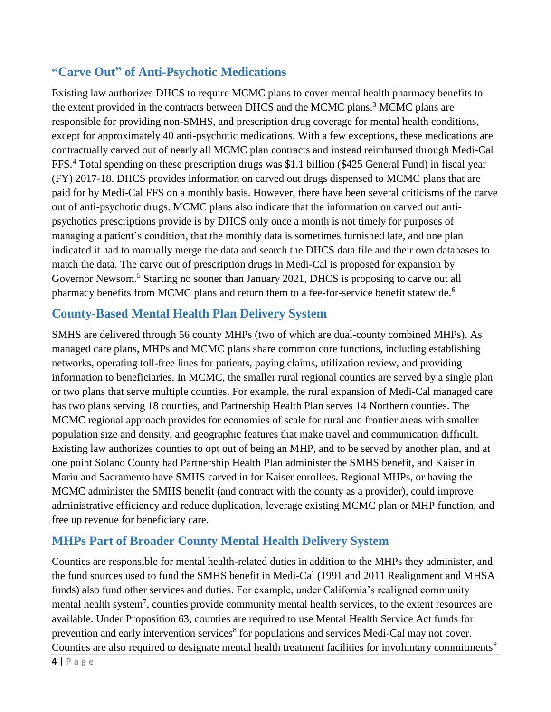#### **"Carve Out" of Anti-Psychotic Medications**

Existing law authorizes DHCS to require MCMC plans to cover mental health pharmacy benefits to the extent provided in the contracts between DHCS and the MCMC plans.<sup>3</sup> MCMC plans are responsible for providing non-SMHS, and prescription drug coverage for mental health conditions, except for approximately 40 anti-psychotic medications. With a few exceptions, these medications are contractually carved out of nearly all MCMC plan contracts and instead reimbursed through Medi-Cal FFS.<sup>4</sup> Total spending on these prescription drugs was \$1.1 billion (\$425 General Fund) in fiscal year (FY) 2017-18. DHCS provides information on carved out drugs dispensed to MCMC plans that are paid for by Medi-Cal FFS on a monthly basis. However, there have been several criticisms of the carve out of anti-psychotic drugs. MCMC plans also indicate that the information on carved out antipsychotics prescriptions provide is by DHCS only once a month is not timely for purposes of managing a patient's condition, that the monthly data is sometimes furnished late, and one plan indicated it had to manually merge the data and search the DHCS data file and their own databases to match the data. The carve out of prescription drugs in Medi-Cal is proposed for expansion by Governor Newsom.<sup>5</sup> Starting no sooner than January 2021, DHCS is proposing to carve out all pharmacy benefits from MCMC plans and return them to a fee-for-service benefit statewide.<sup>6</sup>

#### **County-Based Mental Health Plan Delivery System**

SMHS are delivered through 56 county MHPs (two of which are dual-county combined MHPs). As managed care plans, MHPs and MCMC plans share common core functions, including establishing networks, operating toll-free lines for patients, paying claims, utilization review, and providing information to beneficiaries. In MCMC, the smaller rural regional counties are served by a single plan or two plans that serve multiple counties. For example, the rural expansion of Medi-Cal managed care has two plans serving 18 counties, and Partnership Health Plan serves 14 Northern counties. The MCMC regional approach provides for economies of scale for rural and frontier areas with smaller population size and density, and geographic features that make travel and communication difficult. Existing law authorizes counties to opt out of being an MHP, and to be served by another plan, and at one point Solano County had Partnership Health Plan administer the SMHS benefit, and Kaiser in Marin and Sacramento have SMHS carved in for Kaiser enrollees. Regional MHPs, or having the MCMC administer the SMHS benefit (and contract with the county as a provider), could improve administrative efficiency and reduce duplication, leverage existing MCMC plan or MHP function, and free up revenue for beneficiary care.

#### **MHPs Part of Broader County Mental Health Delivery System**

Counties are responsible for mental health-related duties in addition to the MHPs they administer, and the fund sources used to fund the SMHS benefit in Medi-Cal (1991 and 2011 Realignment and MHSA funds) also fund other services and duties. For example, under California's realigned community mental health system<sup>7</sup>, counties provide community mental health services, to the extent resources are available. Under Proposition 63, counties are required to use Mental Health Service Act funds for prevention and early intervention services<sup>8</sup> for populations and services Medi-Cal may not cover. Counties are also required to designate mental health treatment facilities for involuntary commitments<sup>9</sup>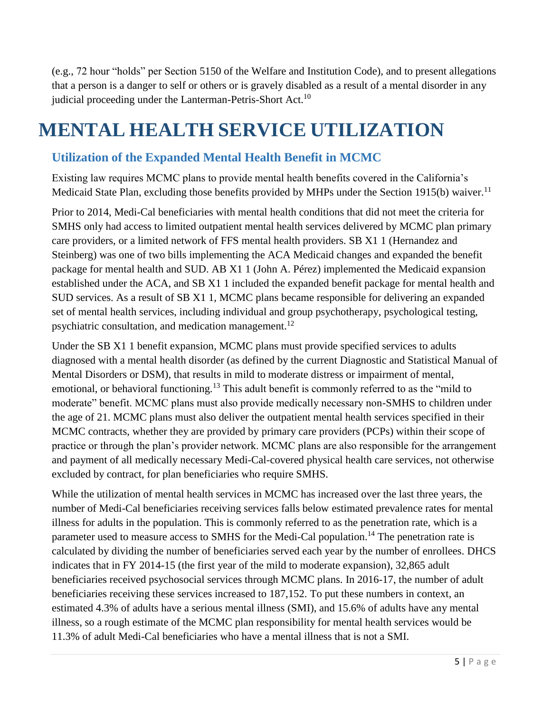(e.g., 72 hour "holds" per Section 5150 of the Welfare and Institution Code), and to present allegations that a person is a danger to self or others or is gravely disabled as a result of a mental disorder in any judicial proceeding under the Lanterman-Petris-Short Act.<sup>10</sup>

# **MENTAL HEALTH SERVICE UTILIZATION**

#### **Utilization of the Expanded Mental Health Benefit in MCMC**

Existing law requires MCMC plans to provide mental health benefits covered in the California's Medicaid State Plan, excluding those benefits provided by MHPs under the Section 1915(b) waiver.<sup>11</sup>

Prior to 2014, Medi-Cal beneficiaries with mental health conditions that did not meet the criteria for SMHS only had access to limited outpatient mental health services delivered by MCMC plan primary care providers, or a limited network of FFS mental health providers. SB X1 1 (Hernandez and Steinberg) was one of two bills implementing the ACA Medicaid changes and expanded the benefit package for mental health and SUD. AB X1 1 (John A. Pérez) implemented the Medicaid expansion established under the ACA, and SB X1 1 included the expanded benefit package for mental health and SUD services. As a result of SB X1 1, MCMC plans became responsible for delivering an expanded set of mental health services, including individual and group psychotherapy, psychological testing, psychiatric consultation, and medication management.<sup>12</sup>

Under the SB X1 1 benefit expansion, MCMC plans must provide specified services to adults diagnosed with a mental health disorder (as defined by the current Diagnostic and Statistical Manual of Mental Disorders or DSM), that results in mild to moderate distress or impairment of mental, emotional, or behavioral functioning.<sup>13</sup> This adult benefit is commonly referred to as the "mild to moderate" benefit. MCMC plans must also provide medically necessary non-SMHS to children under the age of 21. MCMC plans must also deliver the outpatient mental health services specified in their MCMC contracts, whether they are provided by primary care providers (PCPs) within their scope of practice or through the plan's provider network. MCMC plans are also responsible for the arrangement and payment of all medically necessary Medi-Cal-covered physical health care services, not otherwise excluded by contract, for plan beneficiaries who require SMHS.

While the utilization of mental health services in MCMC has increased over the last three years, the number of Medi-Cal beneficiaries receiving services falls below estimated prevalence rates for mental illness for adults in the population. This is commonly referred to as the penetration rate, which is a parameter used to measure access to SMHS for the Medi-Cal population.<sup>14</sup> The penetration rate is calculated by dividing the number of beneficiaries served each year by the number of enrollees. DHCS indicates that in FY 2014-15 (the first year of the mild to moderate expansion), 32,865 adult beneficiaries received psychosocial services through MCMC plans. In 2016-17, the number of adult beneficiaries receiving these services increased to 187,152. To put these numbers in context, an estimated 4.3% of adults have a serious mental illness (SMI), and 15.6% of adults have any mental illness, so a rough estimate of the MCMC plan responsibility for mental health services would be 11.3% of adult Medi-Cal beneficiaries who have a mental illness that is not a SMI.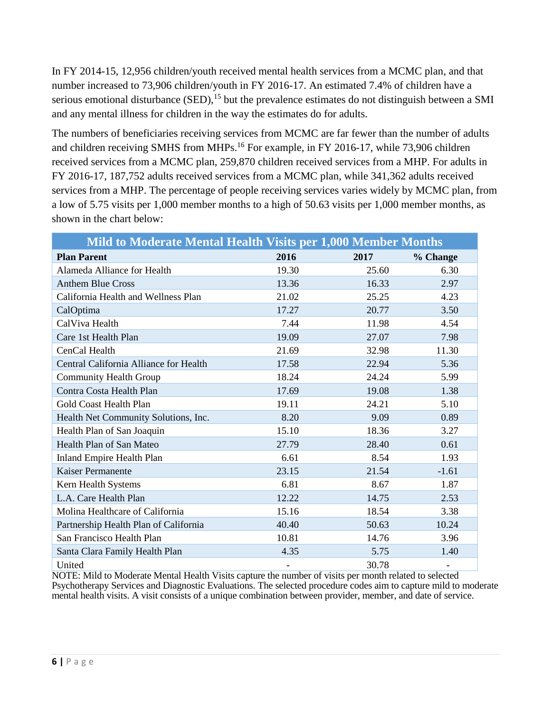In FY 2014-15, 12,956 children/youth received mental health services from a MCMC plan, and that number increased to 73,906 children/youth in FY 2016-17. An estimated 7.4% of children have a serious emotional disturbance (SED), <sup>15</sup> but the prevalence estimates do not distinguish between a SMI and any mental illness for children in the way the estimates do for adults.

The numbers of beneficiaries receiving services from MCMC are far fewer than the number of adults and children receiving SMHS from MHPs.<sup>16</sup> For example, in FY 2016-17, while 73,906 children received services from a MCMC plan, 259,870 children received services from a MHP. For adults in FY 2016-17, 187,752 adults received services from a MCMC plan, while 341,362 adults received services from a MHP. The percentage of people receiving services varies widely by MCMC plan, from a low of 5.75 visits per 1,000 member months to a high of 50.63 visits per 1,000 member months, as shown in the chart below:

| Mild to Moderate Mental Health Visits per 1,000 Member Months |                          |       |                   |
|---------------------------------------------------------------|--------------------------|-------|-------------------|
| <b>Plan Parent</b>                                            | 2016                     | 2017  | % Change          |
| Alameda Alliance for Health                                   | 19.30                    | 25.60 | 6.30              |
| <b>Anthem Blue Cross</b>                                      | 13.36                    | 16.33 | 2.97              |
| California Health and Wellness Plan                           | 21.02                    | 25.25 | 4.23              |
| CalOptima                                                     | 17.27                    | 20.77 | 3.50              |
| CalViva Health                                                | 7.44                     | 11.98 | 4.54              |
| Care 1st Health Plan                                          | 19.09                    | 27.07 | 7.98              |
| CenCal Health                                                 | 21.69                    | 32.98 | 11.30             |
| Central California Alliance for Health                        | 17.58                    | 22.94 | 5.36              |
| <b>Community Health Group</b>                                 | 18.24                    | 24.24 | 5.99              |
| Contra Costa Health Plan                                      | 17.69                    | 19.08 | 1.38              |
| Gold Coast Health Plan                                        | 19.11                    | 24.21 | 5.10              |
| Health Net Community Solutions, Inc.                          | 8.20                     | 9.09  | 0.89              |
| Health Plan of San Joaquin                                    | 15.10                    | 18.36 | 3.27              |
| Health Plan of San Mateo                                      | 27.79                    | 28.40 | 0.61              |
| <b>Inland Empire Health Plan</b>                              | 6.61                     | 8.54  | 1.93              |
| Kaiser Permanente                                             | 23.15                    | 21.54 | $-1.61$           |
| Kern Health Systems                                           | 6.81                     | 8.67  | 1.87              |
| L.A. Care Health Plan                                         | 12.22                    | 14.75 | 2.53              |
| Molina Healthcare of California                               | 15.16                    | 18.54 | 3.38              |
| Partnership Health Plan of California                         | 40.40                    | 50.63 | 10.24             |
| San Francisco Health Plan                                     | 10.81                    | 14.76 | 3.96              |
| Santa Clara Family Health Plan                                | 4.35                     | 5.75  | 1.40              |
| United                                                        | $\overline{\phantom{a}}$ | 30.78 | $\qquad \qquad -$ |

NOTE: Mild to Moderate Mental Health Visits capture the number of visits per month related to selected Psychotherapy Services and Diagnostic Evaluations. The selected procedure codes aim to capture mild to moderate mental health visits. A visit consists of a unique combination between provider, member, and date of service.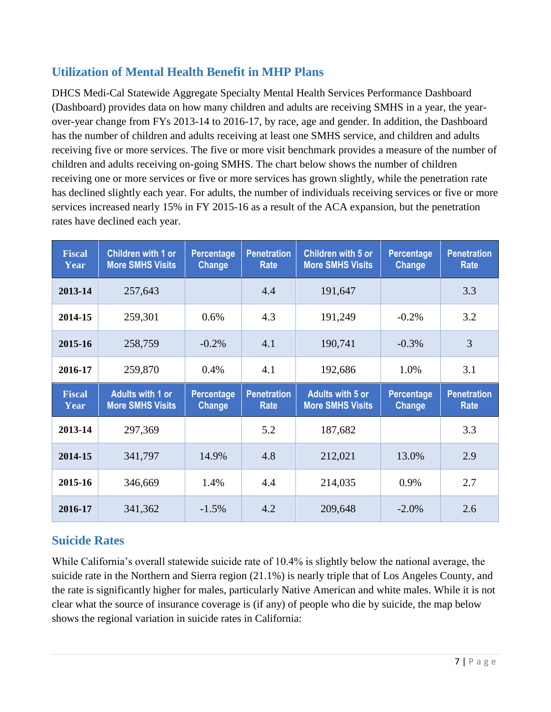#### **Utilization of Mental Health Benefit in MHP Plans**

DHCS Medi-Cal Statewide Aggregate Specialty Mental Health Services Performance Dashboard (Dashboard) provides data on how many children and adults are receiving SMHS in a year, the yearover-year change from FYs 2013-14 to 2016-17, by race, age and gender. In addition, the Dashboard has the number of children and adults receiving at least one SMHS service, and children and adults receiving five or more services. The five or more visit benchmark provides a measure of the number of children and adults receiving on-going SMHS. The chart below shows the number of children receiving one or more services or five or more services has grown slightly, while the penetration rate has declined slightly each year. For adults, the number of individuals receiving services or five or more services increased nearly 15% in FY 2015-16 as a result of the ACA expansion, but the penetration rates have declined each year.

| <b>Fiscal</b><br>Year | <b>Children with 1 or</b><br><b>More SMHS Visits</b> | Percentage<br><b>Change</b> | <b>Penetration</b><br>Rate | <b>Children with 5 or</b><br><b>More SMHS Visits</b> | <b>Percentage</b><br><b>Change</b> | <b>Penetration</b><br><b>Rate</b> |
|-----------------------|------------------------------------------------------|-----------------------------|----------------------------|------------------------------------------------------|------------------------------------|-----------------------------------|
| 2013-14               | 257,643                                              |                             | 4.4                        | 191,647                                              |                                    | 3.3                               |
| 2014-15               | 259,301                                              | 0.6%                        | 4.3                        | 191,249                                              | $-0.2%$                            | 3.2                               |
| 2015-16               | 258,759                                              | $-0.2%$                     | 4.1                        | 190,741                                              | $-0.3\%$                           | 3                                 |
| 2016-17               | 259,870                                              | 0.4%                        | 4.1                        | 192,686                                              | 1.0%                               | 3.1                               |
|                       |                                                      |                             |                            |                                                      |                                    |                                   |
| <b>Fiscal</b><br>Year | <b>Adults with 1 or</b><br><b>More SMHS Visits</b>   | Percentage<br><b>Change</b> | <b>Penetration</b><br>Rate | <b>Adults with 5 or</b><br><b>More SMHS Visits</b>   | <b>Percentage</b><br><b>Change</b> | <b>Penetration</b><br>Rate        |
| 2013-14               | 297,369                                              |                             | 5.2                        | 187,682                                              |                                    | 3.3                               |
| 2014-15               | 341,797                                              | 14.9%                       | 4.8                        | 212,021                                              | 13.0%                              | 2.9                               |
| 2015-16               | 346,669                                              | 1.4%                        | 4.4                        | 214,035                                              | 0.9%                               | 2.7                               |

#### **Suicide Rates**

While California's overall statewide suicide rate of 10.4% is slightly below the national average, the suicide rate in the Northern and Sierra region (21.1%) is nearly triple that of Los Angeles County, and the rate is significantly higher for males, particularly Native American and white males. While it is not clear what the source of insurance coverage is (if any) of people who die by suicide, the map below shows the regional variation in suicide rates in California: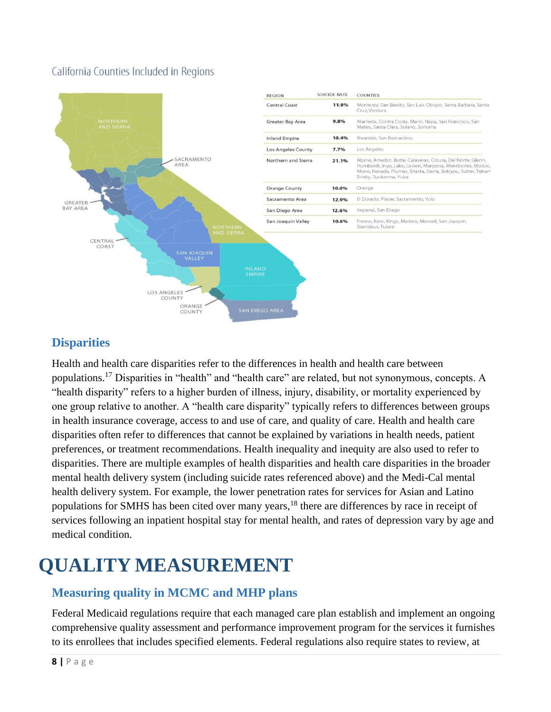#### California Counties Included in Regions



#### **Disparities**

Health and health care disparities refer to the differences in health and health care between populations.<sup>17</sup> Disparities in "health" and "health care" are related, but not synonymous, concepts. A "health disparity" refers to a higher burden of illness, injury, disability, or mortality experienced by one group relative to another. A "health care disparity" typically refers to differences between groups in health insurance coverage, access to and use of care, and quality of care. Health and health care disparities often refer to differences that cannot be explained by variations in health needs, patient preferences, or treatment recommendations. Health inequality and inequity are also used to refer to disparities. There are multiple examples of health disparities and health care disparities in the broader mental health delivery system (including suicide rates referenced above) and the Medi-Cal mental health delivery system. For example, the lower penetration rates for services for Asian and Latino populations for SMHS has been cited over many years,<sup>18</sup> there are differences by race in receipt of services following an inpatient hospital stay for mental health, and rates of depression vary by age and medical condition.

# **QUALITY MEASUREMENT**

#### **Measuring quality in MCMC and MHP plans**

Federal Medicaid regulations require that each managed care plan establish and implement an ongoing comprehensive quality assessment and performance improvement program for the services it furnishes to its enrollees that includes specified elements. Federal regulations also require states to review, at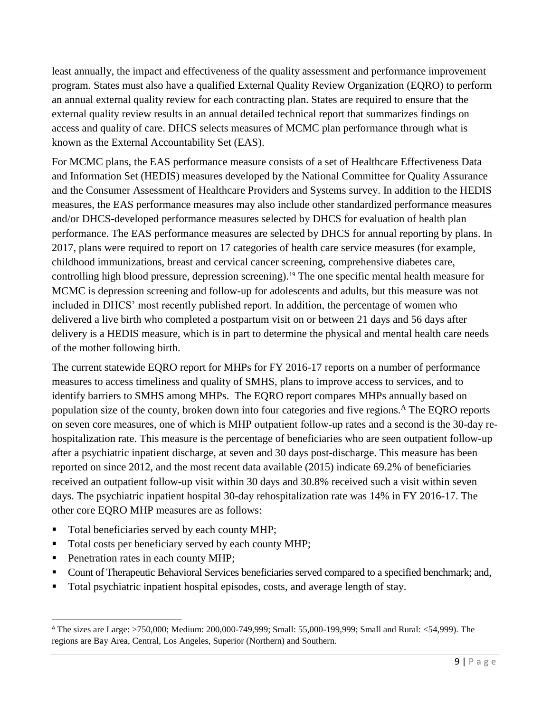least annually, the impact and effectiveness of the quality assessment and performance improvement program. States must also have a qualified External Quality Review Organization (EQRO) to perform an annual external quality review for each contracting plan. States are required to ensure that the external quality review results in an annual detailed technical report that summarizes findings on access and quality of care. DHCS selects measures of MCMC plan performance through what is known as the External Accountability Set (EAS).

For MCMC plans, the EAS performance measure consists of a set of Healthcare Effectiveness Data and Information Set (HEDIS) measures developed by the National Committee for Quality Assurance and the Consumer Assessment of Healthcare Providers and Systems survey. In addition to the HEDIS measures, the EAS performance measures may also include other standardized performance measures and/or DHCS-developed performance measures selected by DHCS for evaluation of health plan performance. The EAS performance measures are selected by DHCS for annual reporting by plans. In 2017, plans were required to report on 17 categories of health care service measures (for example, childhood immunizations, breast and cervical cancer screening, comprehensive diabetes care, controlling high blood pressure, depression screening).<sup>19</sup> The one specific mental health measure for MCMC is depression screening and follow-up for adolescents and adults, but this measure was not included in DHCS' most recently published report. In addition, the percentage of women who delivered a live birth who completed a postpartum visit on or between 21 days and 56 days after delivery is a HEDIS measure, which is in part to determine the physical and mental health care needs of the mother following birth.

The current statewide EQRO report for MHPs for FY 2016-17 reports on a number of performance measures to access timeliness and quality of SMHS, plans to improve access to services, and to identify barriers to SMHS among MHPs. The EQRO report compares MHPs annually based on population size of the county, broken down into four categories and five regions.<sup>A</sup> The EQRO reports on seven core measures, one of which is MHP outpatient follow‐up rates and a second is the 30-day rehospitalization rate. This measure is the percentage of beneficiaries who are seen outpatient follow-up after a psychiatric inpatient discharge, at seven and 30 days post-discharge. This measure has been reported on since 2012, and the most recent data available (2015) indicate 69.2% of beneficiaries received an outpatient follow-up visit within 30 days and 30.8% received such a visit within seven days. The psychiatric inpatient hospital 30-day rehospitalization rate was 14% in FY 2016-17. The other core EQRO MHP measures are as follows:

- Total beneficiaries served by each county MHP;
- Total costs per beneficiary served by each county MHP;
- Penetration rates in each county MHP;

 $\overline{a}$ 

- **Count of Therapeutic Behavioral Services beneficiaries served compared to a specified benchmark; and,**
- Total psychiatric inpatient hospital episodes, costs, and average length of stay.

<sup>A</sup> The sizes are Large: >750,000; Medium: 200,000-749,999; Small: 55,000-199,999; Small and Rural: <54,999). The regions are Bay Area, Central, Los Angeles, Superior (Northern) and Southern.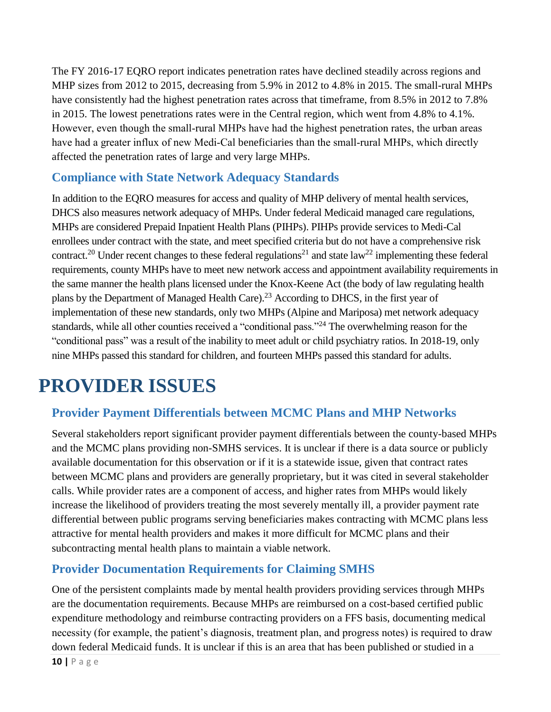The FY 2016-17 EQRO report indicates penetration rates have declined steadily across regions and MHP sizes from 2012 to 2015, decreasing from 5.9% in 2012 to 4.8% in 2015. The small-rural MHPs have consistently had the highest penetration rates across that timeframe, from 8.5% in 2012 to 7.8% in 2015. The lowest penetrations rates were in the Central region, which went from 4.8% to 4.1%. However, even though the small-rural MHPs have had the highest penetration rates, the urban areas have had a greater influx of new Medi-Cal beneficiaries than the small-rural MHPs, which directly affected the penetration rates of large and very large MHPs.

#### **Compliance with State Network Adequacy Standards**

In addition to the EQRO measures for access and quality of MHP delivery of mental health services, DHCS also measures network adequacy of MHPs. Under federal Medicaid managed care regulations, MHPs are considered Prepaid Inpatient Health Plans (PIHPs). PIHPs provide services to Medi-Cal enrollees under contract with the state, and meet specified criteria but do not have a comprehensive risk contract.<sup>20</sup> Under recent changes to these federal regulations<sup>21</sup> and state law<sup>22</sup> implementing these federal requirements, county MHPs have to meet new network access and appointment availability requirements in the same manner the health plans licensed under the Knox-Keene Act (the body of law regulating health plans by the Department of Managed Health Care).<sup>23</sup> According to DHCS, in the first year of implementation of these new standards, only two MHPs (Alpine and Mariposa) met network adequacy standards, while all other counties received a "conditional pass."<sup>24</sup> The overwhelming reason for the "conditional pass" was a result of the inability to meet adult or child psychiatry ratios. In 2018-19, only nine MHPs passed this standard for children, and fourteen MHPs passed this standard for adults.

## **PROVIDER ISSUES**

#### **Provider Payment Differentials between MCMC Plans and MHP Networks**

Several stakeholders report significant provider payment differentials between the county-based MHPs and the MCMC plans providing non-SMHS services. It is unclear if there is a data source or publicly available documentation for this observation or if it is a statewide issue, given that contract rates between MCMC plans and providers are generally proprietary, but it was cited in several stakeholder calls. While provider rates are a component of access, and higher rates from MHPs would likely increase the likelihood of providers treating the most severely mentally ill, a provider payment rate differential between public programs serving beneficiaries makes contracting with MCMC plans less attractive for mental health providers and makes it more difficult for MCMC plans and their subcontracting mental health plans to maintain a viable network.

#### **Provider Documentation Requirements for Claiming SMHS**

One of the persistent complaints made by mental health providers providing services through MHPs are the documentation requirements. Because MHPs are reimbursed on a cost-based certified public expenditure methodology and reimburse contracting providers on a FFS basis, documenting medical necessity (for example, the patient's diagnosis, treatment plan, and progress notes) is required to draw down federal Medicaid funds. It is unclear if this is an area that has been published or studied in a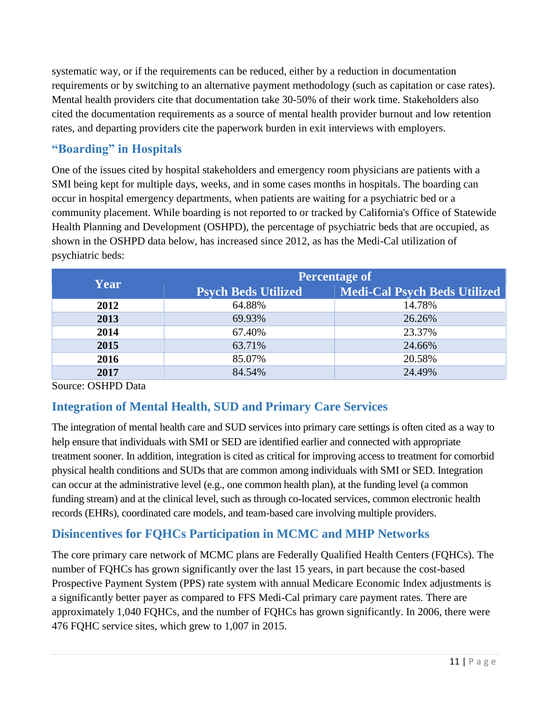systematic way, or if the requirements can be reduced, either by a reduction in documentation requirements or by switching to an alternative payment methodology (such as capitation or case rates). Mental health providers cite that documentation take 30-50% of their work time. Stakeholders also cited the documentation requirements as a source of mental health provider burnout and low retention rates, and departing providers cite the paperwork burden in exit interviews with employers.

#### **"Boarding" in Hospitals**

One of the issues cited by hospital stakeholders and emergency room physicians are patients with a SMI being kept for multiple days, weeks, and in some cases months in hospitals. The boarding can occur in hospital emergency departments, when patients are waiting for a psychiatric bed or a community placement. While boarding is not reported to or tracked by California's Office of Statewide Health Planning and Development (OSHPD), the percentage of psychiatric beds that are occupied, as shown in the OSHPD data below, has increased since 2012, as has the Medi-Cal utilization of psychiatric beds:

| <b>Year</b> | <b>Percentage of</b>       |                              |  |
|-------------|----------------------------|------------------------------|--|
|             | <b>Psych Beds Utilized</b> | Medi-Cal Psych Beds Utilized |  |
| 2012        | 64.88%                     | 14.78%                       |  |
| 2013        | 69.93%                     | 26.26%                       |  |
| 2014        | 67.40%                     | 23.37%                       |  |
| 2015        | 63.71%                     | 24.66%                       |  |
| 2016        | 85.07%                     | 20.58%                       |  |
| 2017        | 84.54%                     | 24.49%                       |  |

Source: OSHPD Data

#### **Integration of Mental Health, SUD and Primary Care Services**

The integration of mental health care and SUD services into primary care settings is often cited as a way to help ensure that individuals with SMI or SED are identified earlier and connected with appropriate treatment sooner. In addition, integration is cited as critical for improving access to treatment for comorbid physical health conditions and SUDs that are common among individuals with SMI or SED. Integration can occur at the administrative level (e.g., one common health plan), at the funding level (a common funding stream) and at the clinical level, such as through co-located services, common electronic health records (EHRs), coordinated care models, and team-based care involving multiple providers.

#### **Disincentives for FQHCs Participation in MCMC and MHP Networks**

The core primary care network of MCMC plans are Federally Qualified Health Centers (FQHCs). The number of FQHCs has grown significantly over the last 15 years, in part because the cost-based Prospective Payment System (PPS) rate system with annual Medicare Economic Index adjustments is a significantly better payer as compared to FFS Medi-Cal primary care payment rates. There are approximately 1,040 FQHCs, and the number of FQHCs has grown significantly. In 2006, there were 476 FQHC service sites, which grew to 1,007 in 2015.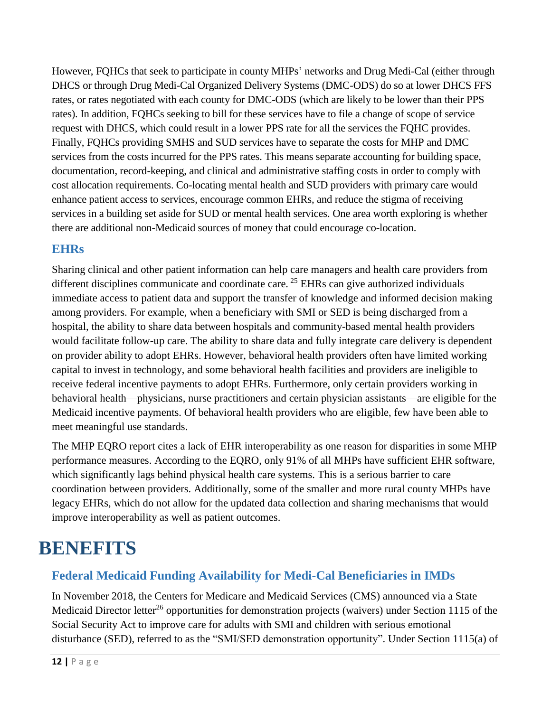However, FQHCs that seek to participate in county MHPs' networks and Drug Medi-Cal (either through DHCS or through Drug Medi-Cal Organized Delivery Systems (DMC-ODS) do so at lower DHCS FFS rates, or rates negotiated with each county for DMC-ODS (which are likely to be lower than their PPS rates). In addition, FQHCs seeking to bill for these services have to file a change of scope of service request with DHCS, which could result in a lower PPS rate for all the services the FQHC provides. Finally, FQHCs providing SMHS and SUD services have to separate the costs for MHP and DMC services from the costs incurred for the PPS rates. This means separate accounting for building space, documentation, record-keeping, and clinical and administrative staffing costs in order to comply with cost allocation requirements. Co-locating mental health and SUD providers with primary care would enhance patient access to services, encourage common EHRs, and reduce the stigma of receiving services in a building set aside for SUD or mental health services. One area worth exploring is whether there are additional non-Medicaid sources of money that could encourage co-location.

#### **EHRs**

Sharing clinical and other patient information can help care managers and health care providers from different disciplines communicate and coordinate care.<sup>25</sup> EHRs can give authorized individuals immediate access to patient data and support the transfer of knowledge and informed decision making among providers. For example, when a beneficiary with SMI or SED is being discharged from a hospital, the ability to share data between hospitals and community-based mental health providers would facilitate follow-up care. The ability to share data and fully integrate care delivery is dependent on provider ability to adopt EHRs. However, behavioral health providers often have limited working capital to invest in technology, and some behavioral health facilities and providers are ineligible to receive federal incentive payments to adopt EHRs. Furthermore, only certain providers working in behavioral health—physicians, nurse practitioners and certain physician assistants—are eligible for the Medicaid incentive payments. Of behavioral health providers who are eligible, few have been able to meet meaningful use standards.

The MHP EQRO report cites a lack of EHR interoperability as one reason for disparities in some MHP performance measures. According to the EQRO, only 91% of all MHPs have sufficient EHR software, which significantly lags behind physical health care systems. This is a serious barrier to care coordination between providers. Additionally, some of the smaller and more rural county MHPs have legacy EHRs, which do not allow for the updated data collection and sharing mechanisms that would improve interoperability as well as patient outcomes.

## **BENEFITS**

#### **Federal Medicaid Funding Availability for Medi-Cal Beneficiaries in IMDs**

In November 2018, the Centers for Medicare and Medicaid Services (CMS) announced via a State Medicaid Director letter<sup>26</sup> opportunities for demonstration projects (waivers) under Section 1115 of the Social Security Act to improve care for adults with SMI and children with serious emotional disturbance (SED), referred to as the "SMI/SED demonstration opportunity". Under Section 1115(a) of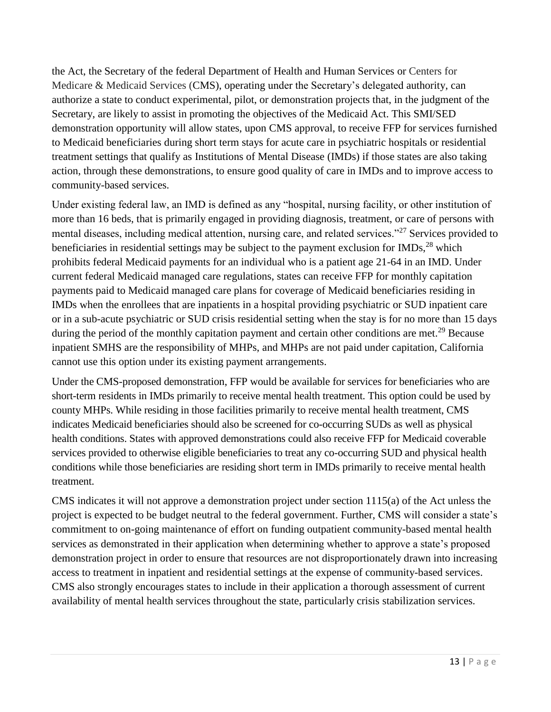the Act, the Secretary of the federal Department of Health and Human Services or Centers for Medicare & Medicaid Services (CMS), operating under the Secretary's delegated authority, can authorize a state to conduct experimental, pilot, or demonstration projects that, in the judgment of the Secretary, are likely to assist in promoting the objectives of the Medicaid Act. This SMI/SED demonstration opportunity will allow states, upon CMS approval, to receive FFP for services furnished to Medicaid beneficiaries during short term stays for acute care in psychiatric hospitals or residential treatment settings that qualify as Institutions of Mental Disease (IMDs) if those states are also taking action, through these demonstrations, to ensure good quality of care in IMDs and to improve access to community-based services.

Under existing federal law, an IMD is defined as any "hospital, nursing facility, or other institution of more than 16 beds, that is primarily engaged in providing diagnosis, treatment, or care of persons with mental diseases, including medical attention, nursing care, and related services."<sup>27</sup> Services provided to beneficiaries in residential settings may be subject to the payment exclusion for IMDs,<sup>28</sup> which prohibits federal Medicaid payments for an individual who is a patient age 21-64 in an IMD. Under current federal Medicaid managed care regulations, states can receive FFP for monthly capitation payments paid to Medicaid managed care plans for coverage of Medicaid beneficiaries residing in IMDs when the enrollees that are inpatients in a hospital providing psychiatric or SUD inpatient care or in a sub-acute psychiatric or SUD crisis residential setting when the stay is for no more than 15 days during the period of the monthly capitation payment and certain other conditions are met.<sup>29</sup> Because inpatient SMHS are the responsibility of MHPs, and MHPs are not paid under capitation, California cannot use this option under its existing payment arrangements.

Under the CMS-proposed demonstration, FFP would be available for services for beneficiaries who are short-term residents in IMDs primarily to receive mental health treatment. This option could be used by county MHPs. While residing in those facilities primarily to receive mental health treatment, CMS indicates Medicaid beneficiaries should also be screened for co-occurring SUDs as well as physical health conditions. States with approved demonstrations could also receive FFP for Medicaid coverable services provided to otherwise eligible beneficiaries to treat any co-occurring SUD and physical health conditions while those beneficiaries are residing short term in IMDs primarily to receive mental health treatment.

CMS indicates it will not approve a demonstration project under section 1115(a) of the Act unless the project is expected to be budget neutral to the federal government. Further, CMS will consider a state's commitment to on-going maintenance of effort on funding outpatient community-based mental health services as demonstrated in their application when determining whether to approve a state's proposed demonstration project in order to ensure that resources are not disproportionately drawn into increasing access to treatment in inpatient and residential settings at the expense of community-based services. CMS also strongly encourages states to include in their application a thorough assessment of current availability of mental health services throughout the state, particularly crisis stabilization services.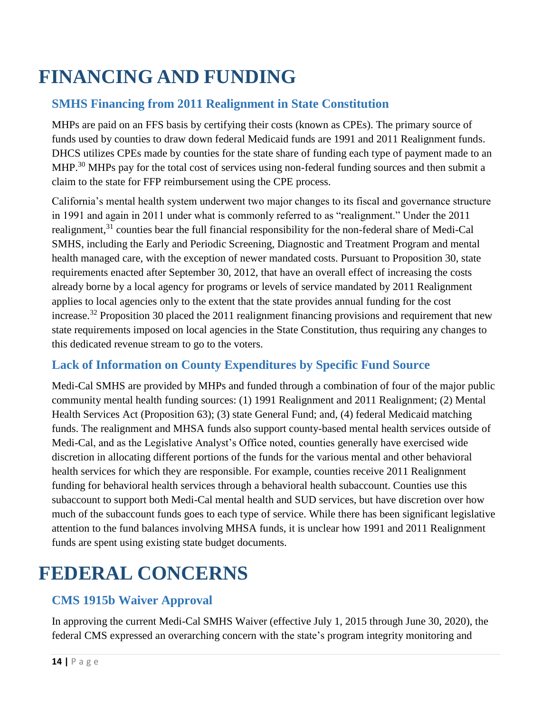# **FINANCING AND FUNDING**

#### **SMHS Financing from 2011 Realignment in State Constitution**

MHPs are paid on an FFS basis by certifying their costs (known as CPEs). The primary source of funds used by counties to draw down federal Medicaid funds are 1991 and 2011 Realignment funds. DHCS utilizes CPEs made by counties for the state share of funding each type of payment made to an MHP.<sup>30</sup> MHPs pay for the total cost of services using non-federal funding sources and then submit a claim to the state for FFP reimbursement using the CPE process.

California's mental health system underwent two major changes to its fiscal and governance structure in 1991 and again in 2011 under what is commonly referred to as "realignment." Under the 2011 realignment,<sup>31</sup> counties bear the full financial responsibility for the non-federal share of Medi-Cal SMHS, including the Early and Periodic Screening, Diagnostic and Treatment Program and mental health managed care, with the exception of newer mandated costs. Pursuant to Proposition 30, state requirements enacted after September 30, 2012, that have an overall effect of increasing the costs already borne by a local agency for programs or levels of service mandated by 2011 Realignment applies to local agencies only to the extent that the state provides annual funding for the cost increase.<sup>32</sup> Proposition 30 placed the 2011 realignment financing provisions and requirement that new state requirements imposed on local agencies in the State Constitution, thus requiring any changes to this dedicated revenue stream to go to the voters.

#### **Lack of Information on County Expenditures by Specific Fund Source**

Medi-Cal SMHS are provided by MHPs and funded through a combination of four of the major public community mental health funding sources: (1) 1991 Realignment and 2011 Realignment; (2) Mental Health Services Act (Proposition 63); (3) state General Fund; and, (4) federal Medicaid matching funds. The realignment and MHSA funds also support county-based mental health services outside of Medi-Cal, and as the Legislative Analyst's Office noted, counties generally have exercised wide discretion in allocating different portions of the funds for the various mental and other behavioral health services for which they are responsible. For example, counties receive 2011 Realignment funding for behavioral health services through a behavioral health subaccount. Counties use this subaccount to support both Medi-Cal mental health and SUD services, but have discretion over how much of the subaccount funds goes to each type of service. While there has been significant legislative attention to the fund balances involving MHSA funds, it is unclear how 1991 and 2011 Realignment funds are spent using existing state budget documents.

# **FEDERAL CONCERNS**

#### **CMS 1915b Waiver Approval**

In approving the current Medi-Cal SMHS Waiver (effective July 1, 2015 through June 30, 2020), the federal CMS expressed an overarching concern with the state's program integrity monitoring and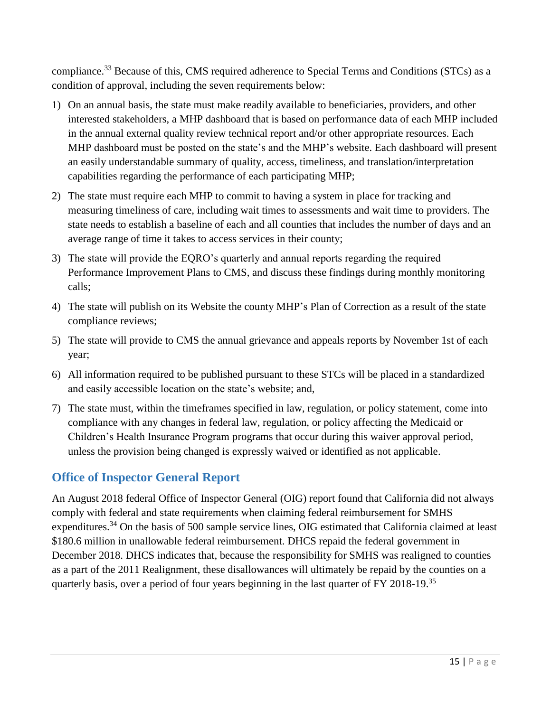compliance.<sup>33</sup> Because of this, CMS required adherence to Special Terms and Conditions (STCs) as a condition of approval, including the seven requirements below:

- 1) On an annual basis, the state must make readily available to beneficiaries, providers, and other interested stakeholders, a MHP dashboard that is based on performance data of each MHP included in the annual external quality review technical report and/or other appropriate resources. Each MHP dashboard must be posted on the state's and the MHP's website. Each dashboard will present an easily understandable summary of quality, access, timeliness, and translation/interpretation capabilities regarding the performance of each participating MHP;
- 2) The state must require each MHP to commit to having a system in place for tracking and measuring timeliness of care, including wait times to assessments and wait time to providers. The state needs to establish a baseline of each and all counties that includes the number of days and an average range of time it takes to access services in their county;
- 3) The state will provide the EQRO's quarterly and annual reports regarding the required Performance Improvement Plans to CMS, and discuss these findings during monthly monitoring calls;
- 4) The state will publish on its Website the county MHP's Plan of Correction as a result of the state compliance reviews;
- 5) The state will provide to CMS the annual grievance and appeals reports by November 1st of each year;
- 6) All information required to be published pursuant to these STCs will be placed in a standardized and easily accessible location on the state's website; and,
- 7) The state must, within the timeframes specified in law, regulation, or policy statement, come into compliance with any changes in federal law, regulation, or policy affecting the Medicaid or Children's Health Insurance Program programs that occur during this waiver approval period, unless the provision being changed is expressly waived or identified as not applicable.

#### **Office of Inspector General Report**

An August 2018 federal Office of Inspector General (OIG) report found that California did not always comply with federal and state requirements when claiming federal reimbursement for SMHS expenditures.<sup>34</sup> On the basis of 500 sample service lines, OIG estimated that California claimed at least \$180.6 million in unallowable federal reimbursement. DHCS repaid the federal government in December 2018. DHCS indicates that, because the responsibility for SMHS was realigned to counties as a part of the 2011 Realignment, these disallowances will ultimately be repaid by the counties on a quarterly basis, over a period of four years beginning in the last quarter of FY 2018-19.<sup>35</sup>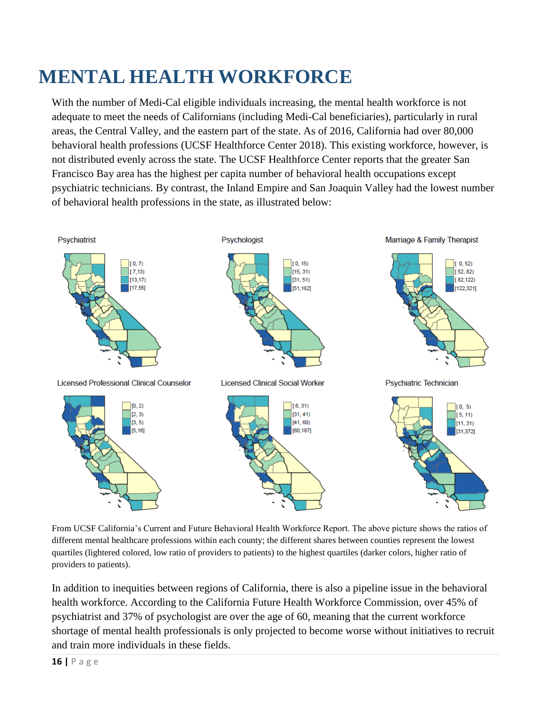# **MENTAL HEALTH WORKFORCE**

With the number of Medi-Cal eligible individuals increasing, the mental health workforce is not adequate to meet the needs of Californians (including Medi-Cal beneficiaries), particularly in rural areas, the Central Valley, and the eastern part of the state. As of 2016, California had over 80,000 behavioral health professions (UCSF Healthforce Center 2018). This existing workforce, however, is not distributed evenly across the state. The UCSF Healthforce Center reports that the greater San Francisco Bay area has the highest per capita number of behavioral health occupations except psychiatric technicians. By contrast, the Inland Empire and San Joaquin Valley had the lowest number of behavioral health professions in the state, as illustrated below:



From UCSF California's Current and Future Behavioral Health Workforce Report. The above picture shows the ratios of different mental healthcare professions within each county; the different shares between counties represent the lowest quartiles (lightered colored, low ratio of providers to patients) to the highest quartiles (darker colors, higher ratio of providers to patients).

In addition to inequities between regions of California, there is also a pipeline issue in the behavioral health workforce. According to the California Future Health Workforce Commission, over 45% of psychiatrist and 37% of psychologist are over the age of 60, meaning that the current workforce shortage of mental health professionals is only projected to become worse without initiatives to recruit and train more individuals in these fields.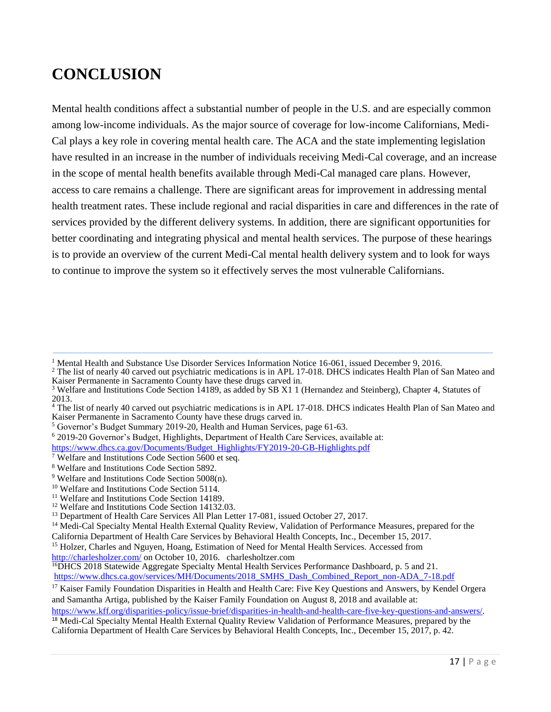### **CONCLUSION**

Mental health conditions affect a substantial number of people in the U.S. and are especially common among low-income individuals. As the major source of coverage for low-income Californians, Medi-Cal plays a key role in covering mental health care. The ACA and the state implementing legislation have resulted in an increase in the number of individuals receiving Medi-Cal coverage, and an increase in the scope of mental health benefits available through Medi-Cal managed care plans. However, access to care remains a challenge. There are significant areas for improvement in addressing mental health treatment rates. These include regional and racial disparities in care and differences in the rate of services provided by the different delivery systems. In addition, there are significant opportunities for better coordinating and integrating physical and mental health services. The purpose of these hearings is to provide an overview of the current Medi-Cal mental health delivery system and to look for ways to continue to improve the system so it effectively serves the most vulnerable Californians.

[https://www.dhcs.ca.gov/Documents/Budget\\_Highlights/FY2019-20-GB-Highlights.pdf](https://www.dhcs.ca.gov/Documents/Budget_Highlights/FY2019-20-GB-Highlights.pdf)

[https://www.kff.org/disparities-policy/issue-brief/disparities-in-health-and-health-care-five-key-questions-and-answers/.](https://www.kff.org/disparities-policy/issue-brief/disparities-in-health-and-health-care-five-key-questions-and-answers/)

<sup>1</sup> Mental Health and Substance Use Disorder Services Information Notice 16-061, issued December 9, 2016.

<sup>&</sup>lt;sup>2</sup> The list of nearly 40 carved out psychiatric medications is in APL 17-018. DHCS indicates Health Plan of San Mateo and Kaiser Permanente in Sacramento County have these drugs carved in.

<sup>&</sup>lt;sup>3</sup> Welfare and Institutions Code Section 14189, as added by SB X1 1 (Hernandez and Steinberg), Chapter 4, Statutes of 2013.

<sup>&</sup>lt;sup>4</sup> The list of nearly 40 carved out psychiatric medications is in APL 17-018. DHCS indicates Health Plan of San Mateo and Kaiser Permanente in Sacramento County have these drugs carved in.

<sup>5</sup> Governor's Budget Summary 2019-20, Health and Human Services, page 61-63.

<sup>6</sup> 2019-20 Governor's Budget, Highlights, Department of Health Care Services, available at:

<sup>7</sup> Welfare and Institutions Code Section 5600 et seq.

<sup>8</sup> Welfare and Institutions Code Section 5892.

<sup>9</sup> Welfare and Institutions Code Section 5008(n).

<sup>10</sup> Welfare and Institutions Code Section 5114.

<sup>&</sup>lt;sup>11</sup> Welfare and Institutions Code Section 14189.

<sup>&</sup>lt;sup>12</sup> Welfare and Institutions Code Section 14132.03.

<sup>&</sup>lt;sup>13</sup> Department of Health Care Services All Plan Letter 17-081, issued October 27, 2017.

<sup>&</sup>lt;sup>14</sup> Medi-Cal Specialty Mental Health External Quality Review, Validation of Performance Measures, prepared for the California Department of Health Care Services by Behavioral Health Concepts, Inc., December 15, 2017.

<sup>&</sup>lt;sup>15</sup> Holzer, Charles and Nguyen, Hoang, Estimation of Need for Mental Health Services. Accessed from

<http://charlesholzer.com/> on October 10, 2016. charlesholtzer.com

<sup>&</sup>lt;sup>16</sup>DHCS 2018 Statewide Aggregate Specialty Mental Health Services Performance Dashboard, p. 5 and 21. https://www.dhcs.ca.gov/services/MH/Documents/2018 SMHS\_Dash\_Combined\_Report\_non-ADA\_7-18.pdf

<sup>&</sup>lt;sup>17</sup> Kaiser Family Foundation Disparities in Health and Health Care: Five Key Questions and Answers, by Kendel Orgera and Samantha Artiga, published by the Kaiser Family Foundation on August 8, 2018 and available at:

<sup>&</sup>lt;sup>18</sup> Medi-Cal Specialty Mental Health External Quality Review Validation of Performance Measures, prepared by the California Department of Health Care Services by Behavioral Health Concepts, Inc., December 15, 2017, p. 42.